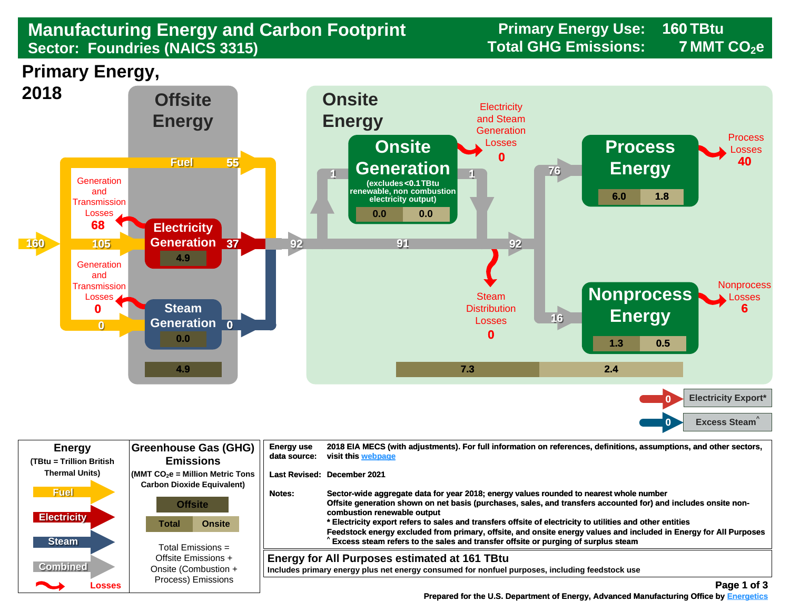## **Manufacturing Energy and Carbon Footprint Frimary Energy Use:** 169 Manufacturing Energy and Carbon Footprint<br>
Sector: Foundries (NAICS 3315) **Sector: Foundries (NAICS 3315)**

**160 7**

**Primary Energy,** 



| <b>Energy</b><br>(TBtu = Trillion British         | <b>Greenhouse Gas (GHG)</b><br><b>Emissions</b>                                                          | <b>Energy use</b><br>data source:  | 2018 EIA MECS (with adjustments). For full information on references, definitions, assumptions, and other sectors,<br>visit this webpage                                                                                                                                                                                                                                                                                                                                                                                                                        |
|---------------------------------------------------|----------------------------------------------------------------------------------------------------------|------------------------------------|-----------------------------------------------------------------------------------------------------------------------------------------------------------------------------------------------------------------------------------------------------------------------------------------------------------------------------------------------------------------------------------------------------------------------------------------------------------------------------------------------------------------------------------------------------------------|
| <b>Thermal Units)</b>                             | $\sqrt{\frac{1}{100}}$ (MMT CO <sub>2</sub> e = Million Metric Tons<br><b>Carbon Dioxide Equivalent)</b> | <b>Last Revised: December 2021</b> |                                                                                                                                                                                                                                                                                                                                                                                                                                                                                                                                                                 |
| <b>Fuel</b><br><b>Electricity</b><br><b>Steam</b> | <b>Offsite</b><br><b>Onsite</b><br>Total<br>Total Emissions =                                            | Notes:                             | Sector-wide aggregate data for year 2018; energy values rounded to nearest whole number<br>Offsite generation shown on net basis (purchases, sales, and transfers accounted for) and includes onsite non-<br>combustion renewable output<br>* Electricity export refers to sales and transfers offsite of electricity to utilities and other entities<br>Feedstock energy excluded from primary, offsite, and onsite energy values and included in Energy for All Purposes<br>Excess steam refers to the sales and transfer offsite or purging of surplus steam |
| <b>Combined</b>                                   | Offsite Emissions +<br>Onsite (Combustion +                                                              |                                    | <b>Energy for All Purposes estimated at 161 TBtu</b><br>Includes primary energy plus net energy consumed for nonfuel purposes, including feedstock use                                                                                                                                                                                                                                                                                                                                                                                                          |
| $\overline{\phantom{a}}$<br>Losses                | Process) Emissions                                                                                       |                                    | Page 1 of 3                                                                                                                                                                                                                                                                                                                                                                                                                                                                                                                                                     |

 **[Prepared for the U.S. Department of Energy, Advanced Manufacturing Office by Energetics](https://www.energetics.com/) Manufacturing Energetics**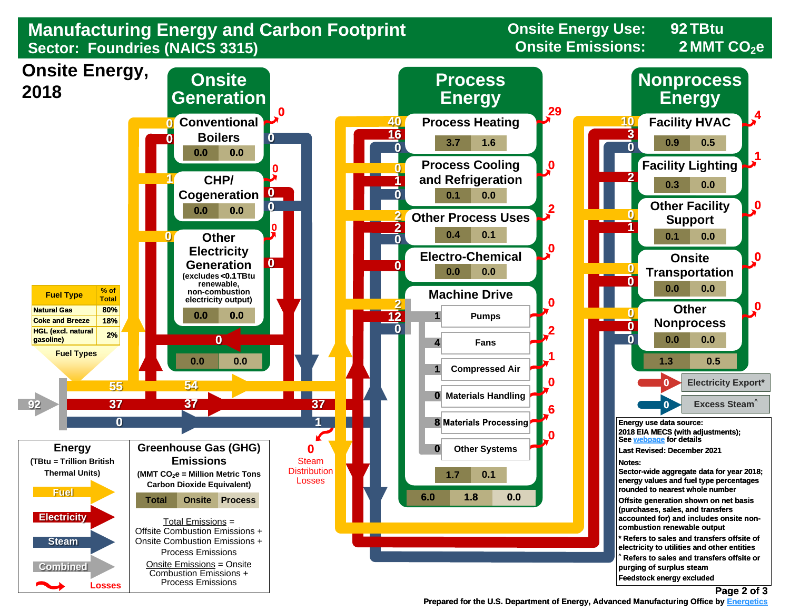

 **Prepared for the U.S. Department of Energy, Advanced Manufacturing Office by Energetics Energetics**